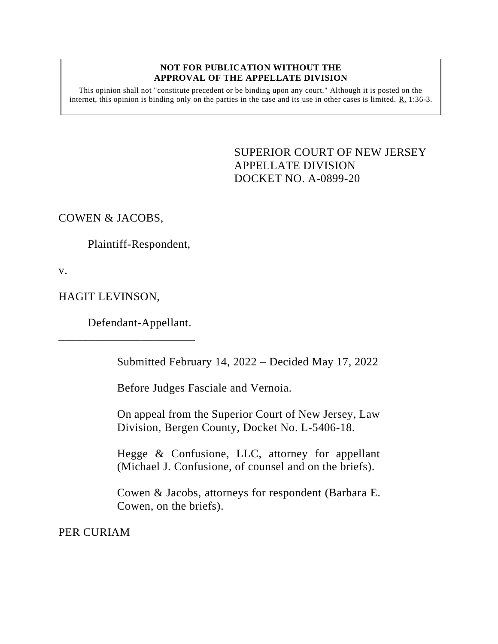#### **NOT FOR PUBLICATION WITHOUT THE APPROVAL OF THE APPELLATE DIVISION**

This opinion shall not "constitute precedent or be binding upon any court." Although it is posted on the internet, this opinion is binding only on the parties in the case and its use in other cases is limited. R. 1:36-3.

> <span id="page-0-0"></span>SUPERIOR COURT OF NEW JERSEY APPELLATE DIVISION DOCKET NO. A-0899-20

COWEN & JACOBS,

Plaintiff-Respondent,

v.

HAGIT LEVINSON,

Defendant-Appellant.

\_\_\_\_\_\_\_\_\_\_\_\_\_\_\_\_\_\_\_\_\_\_\_

Submitted February 14, 2022 – Decided May 17, 2022

Before Judges Fasciale and Vernoia.

On appeal from the Superior Court of New Jersey, Law Division, Bergen County, Docket No. L-5406-18.

Hegge & Confusione, LLC, attorney for appellant (Michael J. Confusione, of counsel and on the briefs).

Cowen & Jacobs, attorneys for respondent (Barbara E. Cowen, on the briefs).

PER CURIAM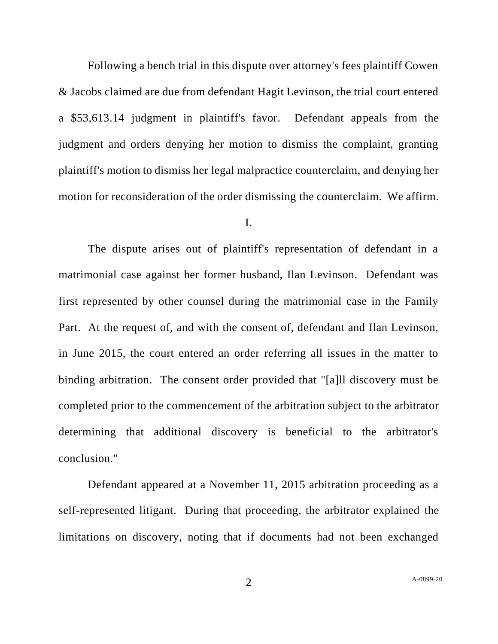Following a bench trial in this dispute over attorney's fees plaintiff Cowen & Jacobs claimed are due from defendant Hagit Levinson, the trial court entered a \$53,613.14 judgment in plaintiff's favor. Defendant appeals from the judgment and orders denying her motion to dismiss the complaint, granting plaintiff's motion to dismiss her legal malpractice counterclaim, and denying her motion for reconsideration of the order dismissing the counterclaim. We affirm.

## I.

The dispute arises out of plaintiff's representation of defendant in a matrimonial case against her former husband, Ilan Levinson. Defendant was first represented by other counsel during the matrimonial case in the Family Part. At the request of, and with the consent of, defendant and Ilan Levinson, in June 2015, the court entered an order referring all issues in the matter to binding arbitration. The consent order provided that "[a]ll discovery must be completed prior to the commencement of the arbitration subject to the arbitrator determining that additional discovery is beneficial to the arbitrator's conclusion."

Defendant appeared at a November 11, 2015 arbitration proceeding as a self-represented litigant. During that proceeding, the arbitrator explained the limitations on discovery, noting that if documents had not been exchanged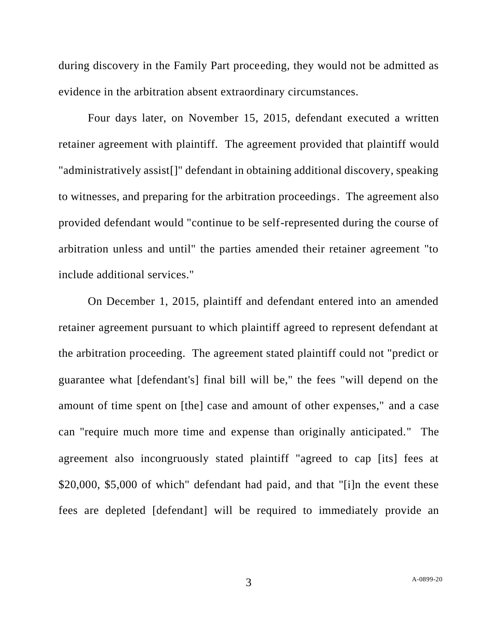during discovery in the Family Part proceeding, they would not be admitted as evidence in the arbitration absent extraordinary circumstances.

Four days later, on November 15, 2015, defendant executed a written retainer agreement with plaintiff. The agreement provided that plaintiff would "administratively assist[]" defendant in obtaining additional discovery, speaking to witnesses, and preparing for the arbitration proceedings. The agreement also provided defendant would "continue to be self-represented during the course of arbitration unless and until" the parties amended their retainer agreement "to include additional services."

On December 1, 2015, plaintiff and defendant entered into an amended retainer agreement pursuant to which plaintiff agreed to represent defendant at the arbitration proceeding. The agreement stated plaintiff could not "predict or guarantee what [defendant's] final bill will be," the fees "will depend on the amount of time spent on [the] case and amount of other expenses," and a case can "require much more time and expense than originally anticipated." The agreement also incongruously stated plaintiff "agreed to cap [its] fees at \$20,000, \$5,000 of which" defendant had paid, and that "[i]n the event these fees are depleted [defendant] will be required to immediately provide an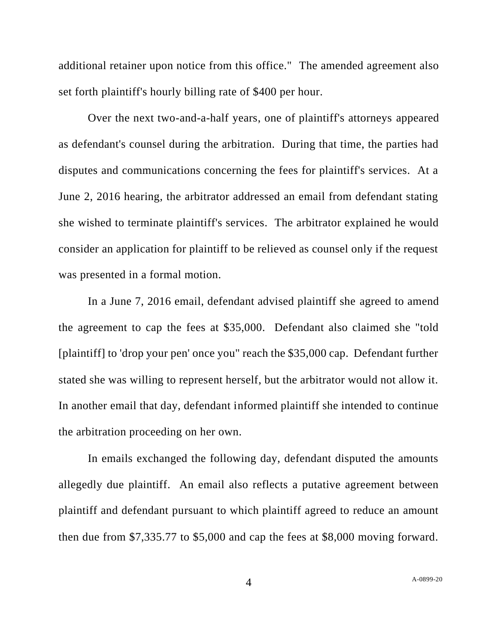additional retainer upon notice from this office." The amended agreement also set forth plaintiff's hourly billing rate of \$400 per hour.

Over the next two-and-a-half years, one of plaintiff's attorneys appeared as defendant's counsel during the arbitration. During that time, the parties had disputes and communications concerning the fees for plaintiff's services. At a June 2, 2016 hearing, the arbitrator addressed an email from defendant stating she wished to terminate plaintiff's services. The arbitrator explained he would consider an application for plaintiff to be relieved as counsel only if the request was presented in a formal motion.

In a June 7, 2016 email, defendant advised plaintiff she agreed to amend the agreement to cap the fees at \$35,000. Defendant also claimed she "told [plaintiff] to 'drop your pen' once you" reach the \$35,000 cap. Defendant further stated she was willing to represent herself, but the arbitrator would not allow it. In another email that day, defendant informed plaintiff she intended to continue the arbitration proceeding on her own.

In emails exchanged the following day, defendant disputed the amounts allegedly due plaintiff. An email also reflects a putative agreement between plaintiff and defendant pursuant to which plaintiff agreed to reduce an amount then due from \$7,335.77 to \$5,000 and cap the fees at \$8,000 moving forward.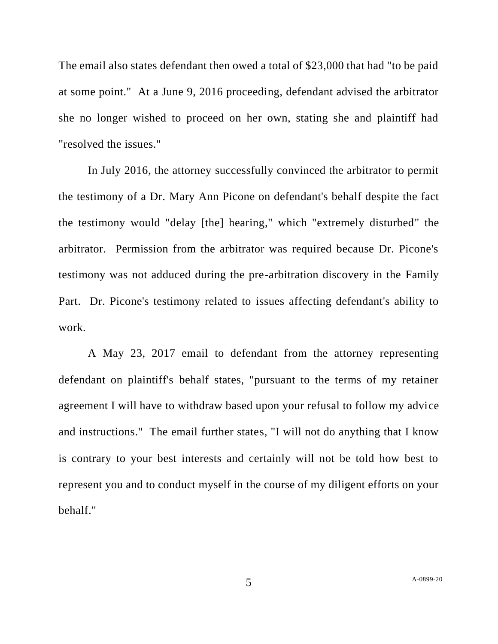The email also states defendant then owed a total of \$23,000 that had "to be paid at some point." At a June 9, 2016 proceeding, defendant advised the arbitrator she no longer wished to proceed on her own, stating she and plaintiff had "resolved the issues."

In July 2016, the attorney successfully convinced the arbitrator to permit the testimony of a Dr. Mary Ann Picone on defendant's behalf despite the fact the testimony would "delay [the] hearing," which "extremely disturbed" the arbitrator. Permission from the arbitrator was required because Dr. Picone's testimony was not adduced during the pre-arbitration discovery in the Family Part. Dr. Picone's testimony related to issues affecting defendant's ability to work.

A May 23, 2017 email to defendant from the attorney representing defendant on plaintiff's behalf states, "pursuant to the terms of my retainer agreement I will have to withdraw based upon your refusal to follow my advice and instructions." The email further states, "I will not do anything that I know is contrary to your best interests and certainly will not be told how best to represent you and to conduct myself in the course of my diligent efforts on your behalf."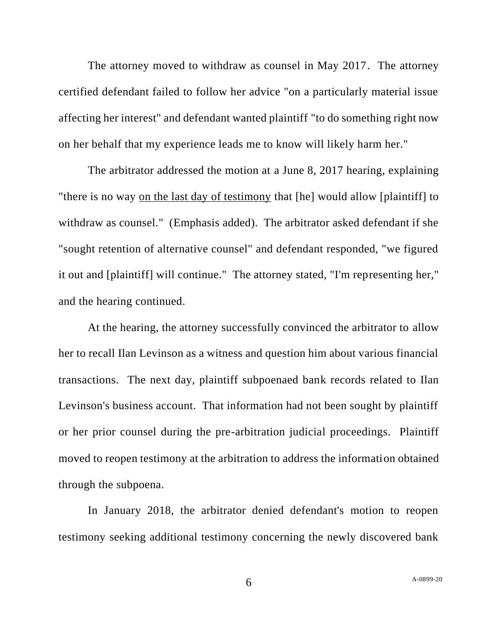The attorney moved to withdraw as counsel in May 2017. The attorney certified defendant failed to follow her advice "on a particularly material issue affecting her interest" and defendant wanted plaintiff "to do something right now on her behalf that my experience leads me to know will likely harm her."

The arbitrator addressed the motion at a June 8, 2017 hearing, explaining "there is no way on the last day of testimony that [he] would allow [plaintiff] to withdraw as counsel." (Emphasis added). The arbitrator asked defendant if she "sought retention of alternative counsel" and defendant responded, "we figured it out and [plaintiff] will continue." The attorney stated, "I'm representing her," and the hearing continued.

At the hearing, the attorney successfully convinced the arbitrator to allow her to recall Ilan Levinson as a witness and question him about various financial transactions. The next day, plaintiff subpoenaed bank records related to Ilan Levinson's business account. That information had not been sought by plaintiff or her prior counsel during the pre-arbitration judicial proceedings. Plaintiff moved to reopen testimony at the arbitration to address the information obtained through the subpoena.

In January 2018, the arbitrator denied defendant's motion to reopen testimony seeking additional testimony concerning the newly discovered bank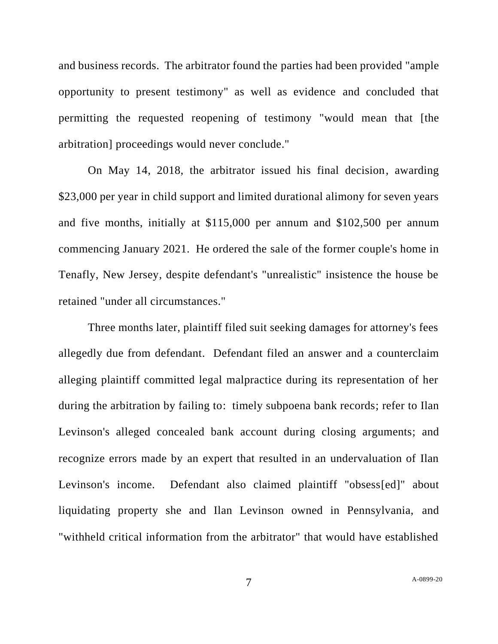and business records. The arbitrator found the parties had been provided "ample opportunity to present testimony" as well as evidence and concluded that permitting the requested reopening of testimony "would mean that [the arbitration] proceedings would never conclude."

On May 14, 2018, the arbitrator issued his final decision, awarding \$23,000 per year in child support and limited durational alimony for seven years and five months, initially at \$115,000 per annum and \$102,500 per annum commencing January 2021. He ordered the sale of the former couple's home in Tenafly, New Jersey, despite defendant's "unrealistic" insistence the house be retained "under all circumstances."

Three months later, plaintiff filed suit seeking damages for attorney's fees allegedly due from defendant. Defendant filed an answer and a counterclaim alleging plaintiff committed legal malpractice during its representation of her during the arbitration by failing to: timely subpoena bank records; refer to Ilan Levinson's alleged concealed bank account during closing arguments; and recognize errors made by an expert that resulted in an undervaluation of Ilan Levinson's income. Defendant also claimed plaintiff "obsess[ed]" about liquidating property she and Ilan Levinson owned in Pennsylvania, and "withheld critical information from the arbitrator" that would have established

7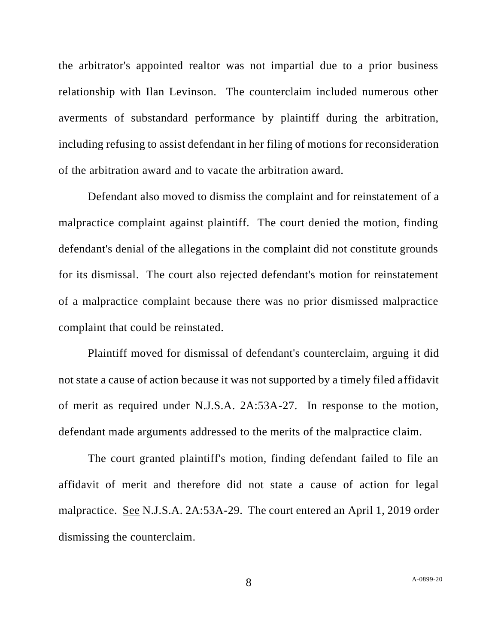the arbitrator's appointed realtor was not impartial due to a prior business relationship with Ilan Levinson. The counterclaim included numerous other averments of substandard performance by plaintiff during the arbitration, including refusing to assist defendant in her filing of motions for reconsideration of the arbitration award and to vacate the arbitration award.

Defendant also moved to dismiss the complaint and for reinstatement of a malpractice complaint against plaintiff. The court denied the motion, finding defendant's denial of the allegations in the complaint did not constitute grounds for its dismissal. The court also rejected defendant's motion for reinstatement of a malpractice complaint because there was no prior dismissed malpractice complaint that could be reinstated.

Plaintiff moved for dismissal of defendant's counterclaim, arguing it did not state a cause of action because it was not supported by a timely filed affidavit of merit as required under N.J.S.A. 2A:53A-27. In response to the motion, defendant made arguments addressed to the merits of the malpractice claim.

The court granted plaintiff's motion, finding defendant failed to file an affidavit of merit and therefore did not state a cause of action for legal malpractice. See N.J.S.A. 2A:53A-29. The court entered an April 1, 2019 order dismissing the counterclaim.

8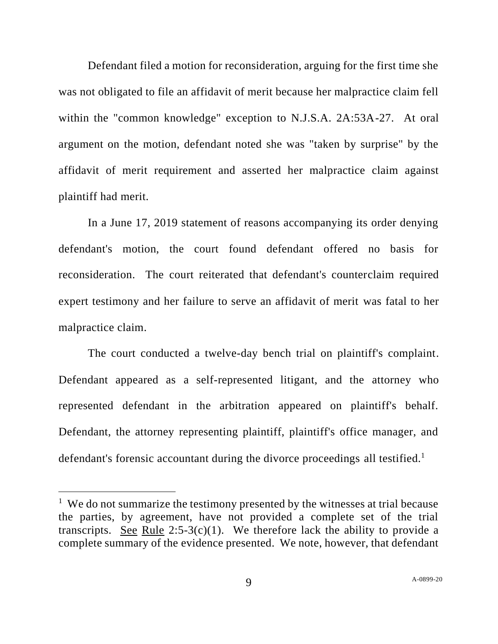Defendant filed a motion for reconsideration, arguing for the first time she was not obligated to file an affidavit of merit because her malpractice claim fell within the "common knowledge" exception to N.J.S.A. 2A:53A-27. At oral argument on the motion, defendant noted she was "taken by surprise" by the affidavit of merit requirement and asserted her malpractice claim against plaintiff had merit.

In a June 17, 2019 statement of reasons accompanying its order denying defendant's motion, the court found defendant offered no basis for reconsideration. The court reiterated that defendant's counterclaim required expert testimony and her failure to serve an affidavit of merit was fatal to her malpractice claim.

The court conducted a twelve-day bench trial on plaintiff's complaint. Defendant appeared as a self-represented litigant, and the attorney who represented defendant in the arbitration appeared on plaintiff's behalf. Defendant, the attorney representing plaintiff, plaintiff's office manager, and defendant's forensic accountant during the divorce proceedings all testified.<sup>1</sup>

<sup>&</sup>lt;sup>1</sup> We do not summarize the testimony presented by the witnesses at trial because the parties, by agreement, have not provided a complete set of the trial transcripts. See Rule  $2:5-3(c)(1)$ . We therefore lack the ability to provide a complete summary of the evidence presented. We note, however, that defendant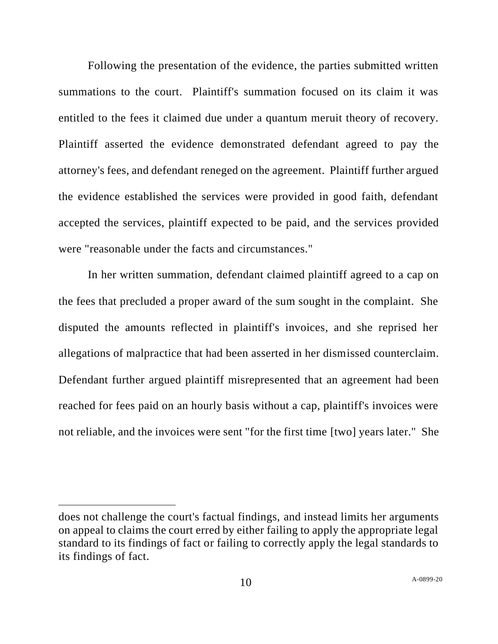Following the presentation of the evidence, the parties submitted written summations to the court. Plaintiff's summation focused on its claim it was entitled to the fees it claimed due under a quantum meruit theory of recovery. Plaintiff asserted the evidence demonstrated defendant agreed to pay the attorney's fees, and defendant reneged on the agreement. Plaintiff further argued the evidence established the services were provided in good faith, defendant accepted the services, plaintiff expected to be paid, and the services provided were "reasonable under the facts and circumstances."

In her written summation, defendant claimed plaintiff agreed to a cap on the fees that precluded a proper award of the sum sought in the complaint. She disputed the amounts reflected in plaintiff's invoices, and she reprised her allegations of malpractice that had been asserted in her dismissed counterclaim. Defendant further argued plaintiff misrepresented that an agreement had been reached for fees paid on an hourly basis without a cap, plaintiff's invoices were not reliable, and the invoices were sent "for the first time [two] years later." She

does not challenge the court's factual findings, and instead limits her arguments on appeal to claims the court erred by either failing to apply the appropriate legal standard to its findings of fact or failing to correctly apply the legal standards to its findings of fact.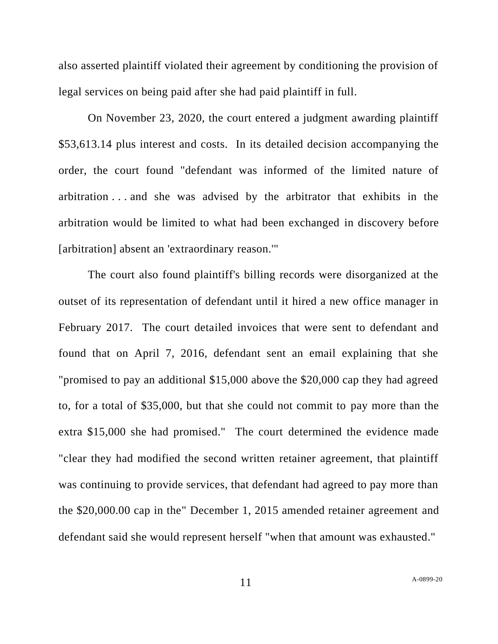also asserted plaintiff violated their agreement by conditioning the provision of legal services on being paid after she had paid plaintiff in full.

On November 23, 2020, the court entered a judgment awarding plaintiff \$53,613.14 plus interest and costs. In its detailed decision accompanying the order, the court found "defendant was informed of the limited nature of arbitration . . . and she was advised by the arbitrator that exhibits in the arbitration would be limited to what had been exchanged in discovery before [arbitration] absent an 'extraordinary reason."

The court also found plaintiff's billing records were disorganized at the outset of its representation of defendant until it hired a new office manager in February 2017. The court detailed invoices that were sent to defendant and found that on April 7, 2016, defendant sent an email explaining that she "promised to pay an additional \$15,000 above the \$20,000 cap they had agreed to, for a total of \$35,000, but that she could not commit to pay more than the extra \$15,000 she had promised." The court determined the evidence made "clear they had modified the second written retainer agreement, that plaintiff was continuing to provide services, that defendant had agreed to pay more than the \$20,000.00 cap in the" December 1, 2015 amended retainer agreement and defendant said she would represent herself "when that amount was exhausted."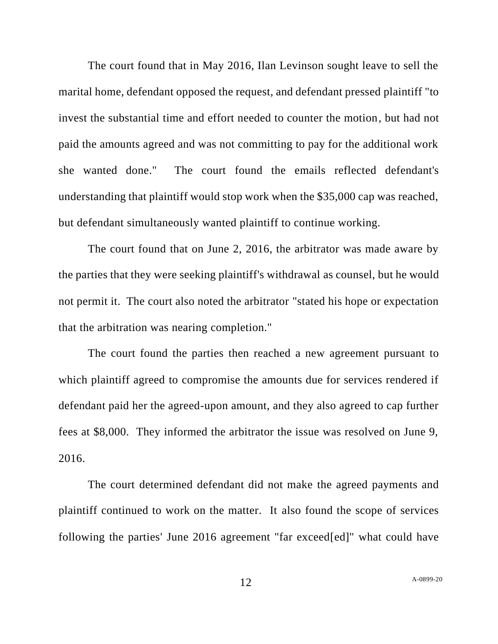The court found that in May 2016, Ilan Levinson sought leave to sell the marital home, defendant opposed the request, and defendant pressed plaintiff "to invest the substantial time and effort needed to counter the motion, but had not paid the amounts agreed and was not committing to pay for the additional work she wanted done." The court found the emails reflected defendant's understanding that plaintiff would stop work when the \$35,000 cap was reached, but defendant simultaneously wanted plaintiff to continue working.

The court found that on June 2, 2016, the arbitrator was made aware by the parties that they were seeking plaintiff's withdrawal as counsel, but he would not permit it. The court also noted the arbitrator "stated his hope or expectation that the arbitration was nearing completion."

The court found the parties then reached a new agreement pursuant to which plaintiff agreed to compromise the amounts due for services rendered if defendant paid her the agreed-upon amount, and they also agreed to cap further fees at \$8,000. They informed the arbitrator the issue was resolved on June 9, 2016.

The court determined defendant did not make the agreed payments and plaintiff continued to work on the matter. It also found the scope of services following the parties' June 2016 agreement "far exceed[ed]" what could have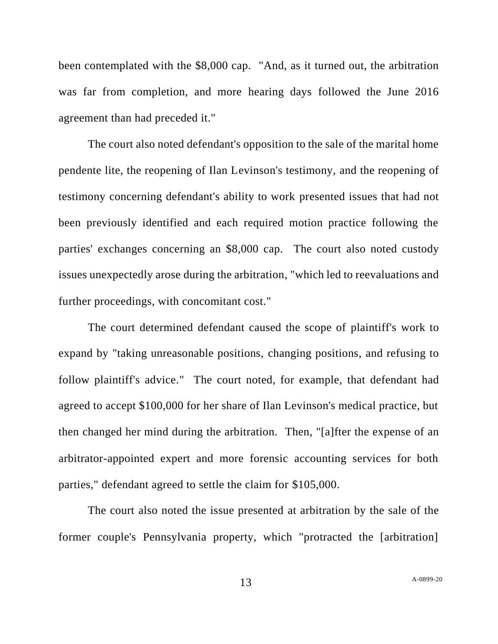been contemplated with the \$8,000 cap. "And, as it turned out, the arbitration was far from completion, and more hearing days followed the June 2016 agreement than had preceded it."

The court also noted defendant's opposition to the sale of the marital home pendente lite, the reopening of Ilan Levinson's testimony, and the reopening of testimony concerning defendant's ability to work presented issues that had not been previously identified and each required motion practice following the parties' exchanges concerning an \$8,000 cap. The court also noted custody issues unexpectedly arose during the arbitration, "which led to reevaluations and further proceedings, with concomitant cost."

The court determined defendant caused the scope of plaintiff's work to expand by "taking unreasonable positions, changing positions, and refusing to follow plaintiff's advice." The court noted, for example, that defendant had agreed to accept \$100,000 for her share of Ilan Levinson's medical practice, but then changed her mind during the arbitration. Then, "[a]fter the expense of an arbitrator-appointed expert and more forensic accounting services for both parties," defendant agreed to settle the claim for \$105,000.

The court also noted the issue presented at arbitration by the sale of the former couple's Pennsylvania property, which "protracted the [arbitration]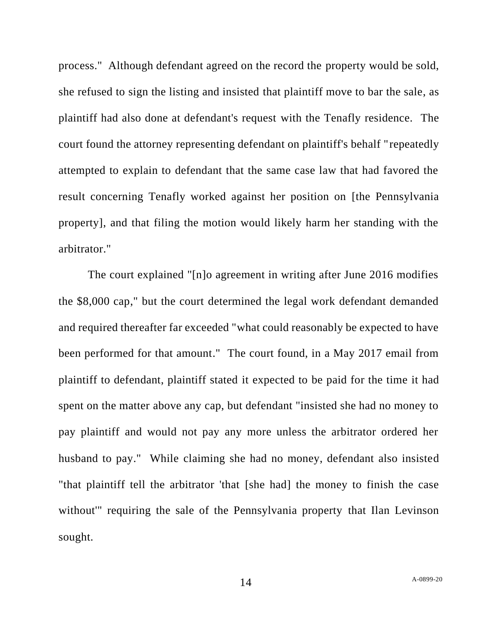process." Although defendant agreed on the record the property would be sold, she refused to sign the listing and insisted that plaintiff move to bar the sale, as plaintiff had also done at defendant's request with the Tenafly residence. The court found the attorney representing defendant on plaintiff's behalf "repeatedly attempted to explain to defendant that the same case law that had favored the result concerning Tenafly worked against her position on [the Pennsylvania property], and that filing the motion would likely harm her standing with the arbitrator."

The court explained "[n]o agreement in writing after June 2016 modifies the \$8,000 cap," but the court determined the legal work defendant demanded and required thereafter far exceeded "what could reasonably be expected to have been performed for that amount." The court found, in a May 2017 email from plaintiff to defendant, plaintiff stated it expected to be paid for the time it had spent on the matter above any cap, but defendant "insisted she had no money to pay plaintiff and would not pay any more unless the arbitrator ordered her husband to pay." While claiming she had no money, defendant also insisted "that plaintiff tell the arbitrator 'that [she had] the money to finish the case without'" requiring the sale of the Pennsylvania property that Ilan Levinson sought.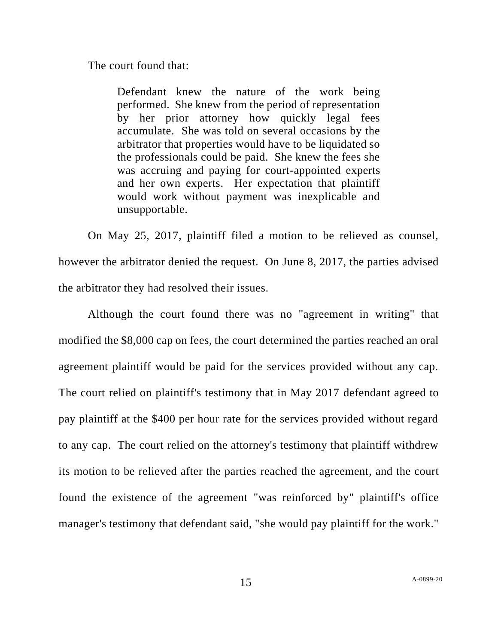The court found that:

Defendant knew the nature of the work being performed. She knew from the period of representation by her prior attorney how quickly legal fees accumulate. She was told on several occasions by the arbitrator that properties would have to be liquidated so the professionals could be paid. She knew the fees she was accruing and paying for court-appointed experts and her own experts. Her expectation that plaintiff would work without payment was inexplicable and unsupportable.

On May 25, 2017, plaintiff filed a motion to be relieved as counsel, however the arbitrator denied the request. On June 8, 2017, the parties advised the arbitrator they had resolved their issues.

Although the court found there was no "agreement in writing" that modified the \$8,000 cap on fees, the court determined the parties reached an oral agreement plaintiff would be paid for the services provided without any cap. The court relied on plaintiff's testimony that in May 2017 defendant agreed to pay plaintiff at the \$400 per hour rate for the services provided without regard to any cap. The court relied on the attorney's testimony that plaintiff withdrew its motion to be relieved after the parties reached the agreement, and the court found the existence of the agreement "was reinforced by" plaintiff's office manager's testimony that defendant said, "she would pay plaintiff for the work."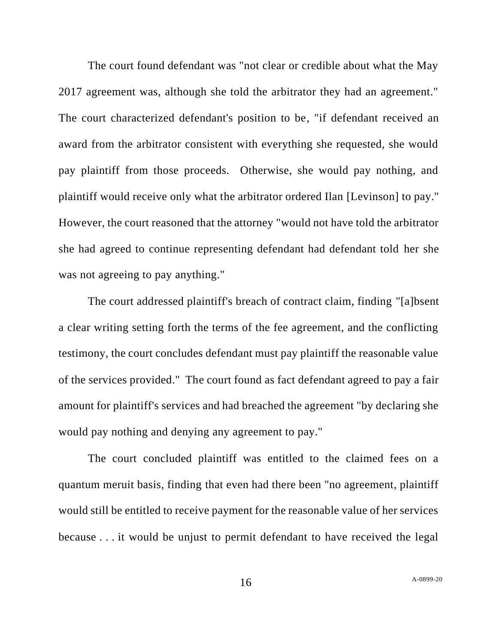The court found defendant was "not clear or credible about what the May 2017 agreement was, although she told the arbitrator they had an agreement." The court characterized defendant's position to be, "if defendant received an award from the arbitrator consistent with everything she requested, she would pay plaintiff from those proceeds. Otherwise, she would pay nothing, and plaintiff would receive only what the arbitrator ordered Ilan [Levinson] to pay." However, the court reasoned that the attorney "would not have told the arbitrator she had agreed to continue representing defendant had defendant told her she was not agreeing to pay anything."

The court addressed plaintiff's breach of contract claim, finding "[a]bsent a clear writing setting forth the terms of the fee agreement, and the conflicting testimony, the court concludes defendant must pay plaintiff the reasonable value of the services provided." The court found as fact defendant agreed to pay a fair amount for plaintiff's services and had breached the agreement "by declaring she would pay nothing and denying any agreement to pay."

The court concluded plaintiff was entitled to the claimed fees on a quantum meruit basis, finding that even had there been "no agreement, plaintiff would still be entitled to receive payment for the reasonable value of her services because . . . it would be unjust to permit defendant to have received the legal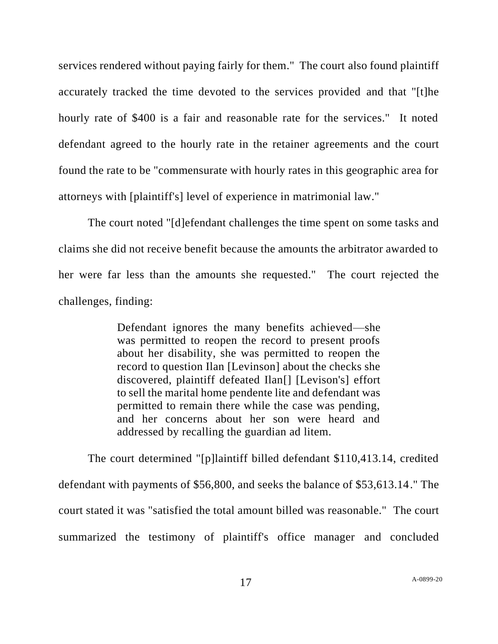services rendered without paying fairly for them." The court also found plaintiff accurately tracked the time devoted to the services provided and that "[t]he hourly rate of \$400 is a fair and reasonable rate for the services." It noted defendant agreed to the hourly rate in the retainer agreements and the court found the rate to be "commensurate with hourly rates in this geographic area for attorneys with [plaintiff's] level of experience in matrimonial law."

The court noted "[d]efendant challenges the time spent on some tasks and claims she did not receive benefit because the amounts the arbitrator awarded to her were far less than the amounts she requested." The court rejected the challenges, finding:

> Defendant ignores the many benefits achieved—she was permitted to reopen the record to present proofs about her disability, she was permitted to reopen the record to question Ilan [Levinson] about the checks she discovered, plaintiff defeated Ilan[] [Levison's] effort to sell the marital home pendente lite and defendant was permitted to remain there while the case was pending, and her concerns about her son were heard and addressed by recalling the guardian ad litem.

The court determined "[p]laintiff billed defendant \$110,413.14, credited defendant with payments of \$56,800, and seeks the balance of \$53,613.14." The court stated it was "satisfied the total amount billed was reasonable." The court summarized the testimony of plaintiff's office manager and concluded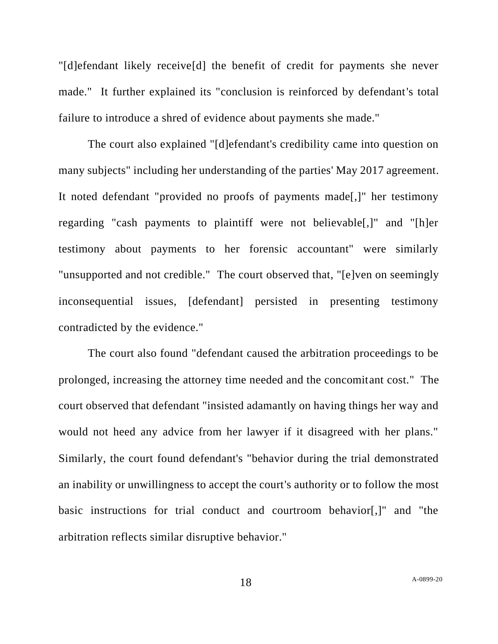"[d]efendant likely receive[d] the benefit of credit for payments she never made." It further explained its "conclusion is reinforced by defendant's total failure to introduce a shred of evidence about payments she made."

The court also explained "[d]efendant's credibility came into question on many subjects" including her understanding of the parties' May 2017 agreement. It noted defendant "provided no proofs of payments made[,]" her testimony regarding "cash payments to plaintiff were not believable[,]" and "[h]er testimony about payments to her forensic accountant" were similarly "unsupported and not credible." The court observed that, "[e]ven on seemingly inconsequential issues, [defendant] persisted in presenting testimony contradicted by the evidence."

The court also found "defendant caused the arbitration proceedings to be prolonged, increasing the attorney time needed and the concomitant cost." The court observed that defendant "insisted adamantly on having things her way and would not heed any advice from her lawyer if it disagreed with her plans." Similarly, the court found defendant's "behavior during the trial demonstrated an inability or unwillingness to accept the court's authority or to follow the most basic instructions for trial conduct and courtroom behavior[,]" and "the arbitration reflects similar disruptive behavior."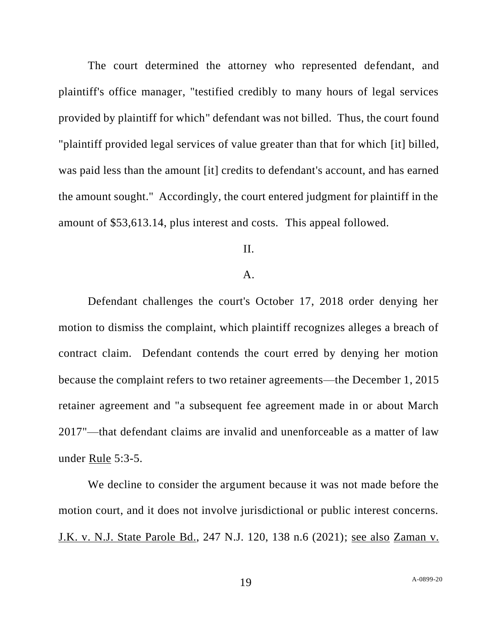The court determined the attorney who represented defendant, and plaintiff's office manager, "testified credibly to many hours of legal services provided by plaintiff for which" defendant was not billed. Thus, the court found "plaintiff provided legal services of value greater than that for which [it] billed, was paid less than the amount [it] credits to defendant's account, and has earned the amount sought." Accordingly, the court entered judgment for plaintiff in the amount of \$53,613.14, plus interest and costs. This appeal followed.

# II.

## A.

Defendant challenges the court's October 17, 2018 order denying her motion to dismiss the complaint, which plaintiff recognizes alleges a breach of contract claim. Defendant contends the court erred by denying her motion because the complaint refers to two retainer agreements—the December 1, 2015 retainer agreement and "a subsequent fee agreement made in or about March 2017"—that defendant claims are invalid and unenforceable as a matter of law under Rule 5:3-5.

We decline to consider the argument because it was not made before the motion court, and it does not involve jurisdictional or public interest concerns. J.K. v. N.J. State Parole Bd., 247 N.J. 120, 138 n.6 (2021); see also Zaman v.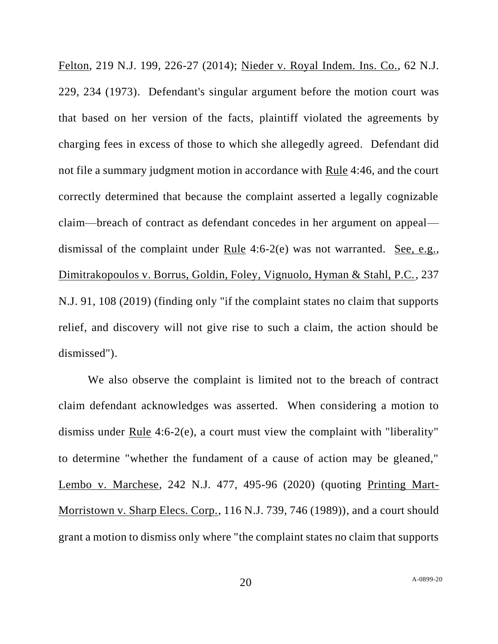Felton, 219 N.J. 199, 226-27 (2014); Nieder v. Royal Indem. Ins. Co., 62 N.J. 229, 234 (1973). Defendant's singular argument before the motion court was that based on her version of the facts, plaintiff violated the agreements by charging fees in excess of those to which she allegedly agreed. Defendant did not file a summary judgment motion in accordance with Rule 4:46, and the court correctly determined that because the complaint asserted a legally cognizable claim—breach of contract as defendant concedes in her argument on appeal dismissal of the complaint under Rule 4:6-2(e) was not warranted. See, e.g., Dimitrakopoulos v. Borrus, Goldin, Foley, Vignuolo, Hyman & Stahl, P.C., 237 N.J. 91, 108 (2019) (finding only "if the complaint states no claim that supports relief, and discovery will not give rise to such a claim, the action should be dismissed").

We also observe the complaint is limited not to the breach of contract claim defendant acknowledges was asserted. When considering a motion to dismiss under Rule 4:6-2(e), a court must view the complaint with "liberality" to determine "whether the fundament of a cause of action may be gleaned," Lembo v. Marchese, 242 N.J. 477, 495-96 (2020) (quoting Printing Mart-Morristown v. Sharp Elecs. Corp., 116 N.J. 739, 746 (1989)), and a court should grant a motion to dismiss only where "the complaint states no claim that supports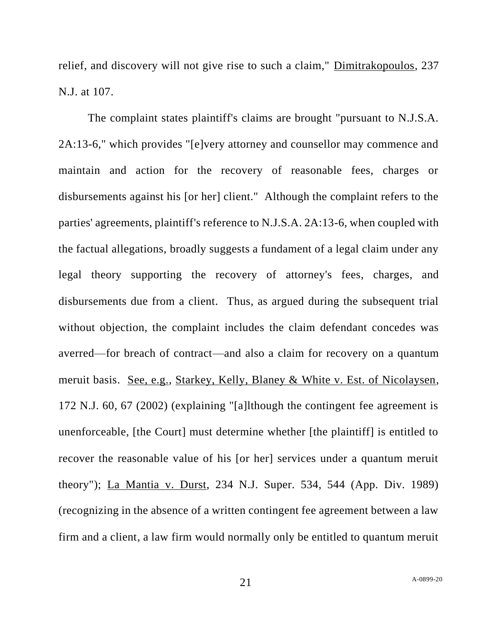relief, and discovery will not give rise to such a claim," Dimitrakopoulos, 237 N.J. at 107.

The complaint states plaintiff's claims are brought "pursuant to N.J.S.A. 2A:13-6," which provides "[e]very attorney and counsellor may commence and maintain and action for the recovery of reasonable fees, charges or disbursements against his [or her] client." Although the complaint refers to the parties' agreements, plaintiff's reference to N.J.S.A. 2A:13-6, when coupled with the factual allegations, broadly suggests a fundament of a legal claim under any legal theory supporting the recovery of attorney's fees, charges, and disbursements due from a client. Thus, as argued during the subsequent trial without objection, the complaint includes the claim defendant concedes was averred—for breach of contract—and also a claim for recovery on a quantum meruit basis. See, e.g., Starkey, Kelly, Blaney & White v. Est. of Nicolaysen, 172 N.J. 60, 67 (2002) (explaining "[a]lthough the contingent fee agreement is unenforceable, [the Court] must determine whether [the plaintiff] is entitled to recover the reasonable value of his [or her] services under a quantum meruit theory"); La Mantia v. Durst, 234 N.J. Super. 534, 544 (App. Div. 1989) (recognizing in the absence of a written contingent fee agreement between a law firm and a client, a law firm would normally only be entitled to quantum meruit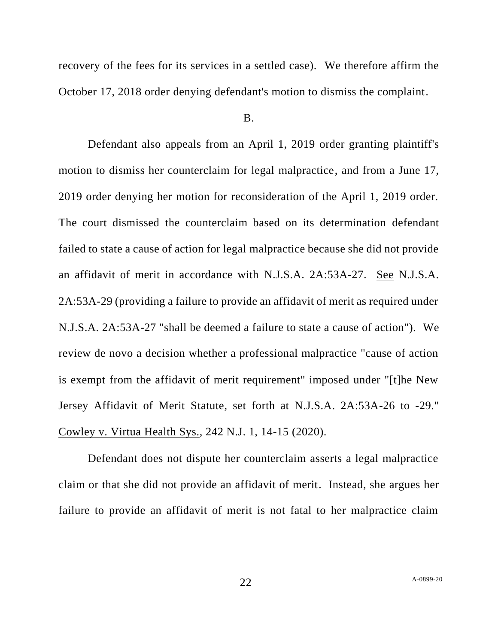recovery of the fees for its services in a settled case). We therefore affirm the October 17, 2018 order denying defendant's motion to dismiss the complaint.

## B.

Defendant also appeals from an April 1, 2019 order granting plaintiff's motion to dismiss her counterclaim for legal malpractice, and from a June 17, 2019 order denying her motion for reconsideration of the April 1, 2019 order. The court dismissed the counterclaim based on its determination defendant failed to state a cause of action for legal malpractice because she did not provide an affidavit of merit in accordance with N.J.S.A. 2A:53A-27. See N.J.S.A. 2A:53A-29 (providing a failure to provide an affidavit of merit as required under N.J.S.A. 2A:53A-27 "shall be deemed a failure to state a cause of action"). We review de novo a decision whether a professional malpractice "cause of action is exempt from the affidavit of merit requirement" imposed under "[t]he New Jersey Affidavit of Merit Statute, set forth at N.J.S.A. 2A:53A-26 to -29." Cowley v. Virtua Health Sys., 242 N.J. 1, 14-15 (2020).

Defendant does not dispute her counterclaim asserts a legal malpractice claim or that she did not provide an affidavit of merit. Instead, she argues her failure to provide an affidavit of merit is not fatal to her malpractice claim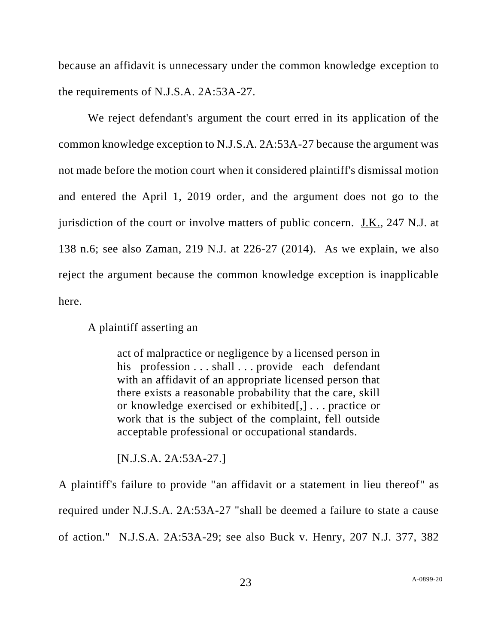because an affidavit is unnecessary under the common knowledge exception to the requirements of N.J.S.A. 2A:53A-27.

We reject defendant's argument the court erred in its application of the common knowledge exception to N.J.S.A. 2A:53A-27 because the argument was not made before the motion court when it considered plaintiff's dismissal motion and entered the April 1, 2019 order, and the argument does not go to the jurisdiction of the court or involve matters of public concern. J.K., 247 N.J. at 138 n.6; see also Zaman, 219 N.J. at 226-27 (2014). As we explain, we also reject the argument because the common knowledge exception is inapplicable here.

A plaintiff asserting an

act of malpractice or negligence by a licensed person in his profession . . . shall . . . provide each defendant with an affidavit of an appropriate licensed person that there exists a reasonable probability that the care, skill or knowledge exercised or exhibited[,] . . . practice or work that is the subject of the complaint, fell outside acceptable professional or occupational standards.

[N.J.S.A. 2A:53A-27.]

A plaintiff's failure to provide "an affidavit or a statement in lieu thereof" as required under N.J.S.A. 2A:53A-27 "shall be deemed a failure to state a cause of action." N.J.S.A. 2A:53A-29; see also Buck v. Henry, 207 N.J. 377, 382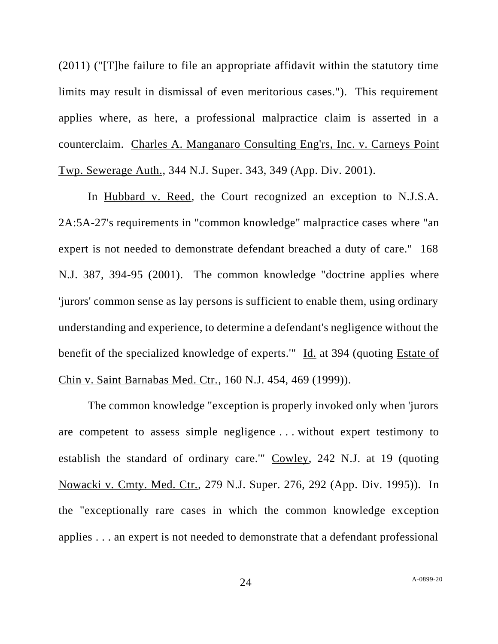(2011) ("[T]he failure to file an appropriate affidavit within the statutory time limits may result in dismissal of even meritorious cases."). This requirement applies where, as here, a professional malpractice claim is asserted in a counterclaim. Charles A. Manganaro Consulting Eng'rs, Inc. v. Carneys Point Twp. Sewerage Auth., 344 N.J. Super. 343, 349 (App. Div. 2001).

In Hubbard v. Reed, the Court recognized an exception to N.J.S.A. 2A:5A-27's requirements in "common knowledge" malpractice cases where "an expert is not needed to demonstrate defendant breached a duty of care." 168 N.J. 387, 394-95 (2001). The common knowledge "doctrine applies where 'jurors' common sense as lay persons is sufficient to enable them, using ordinary understanding and experience, to determine a defendant's negligence without the benefit of the specialized knowledge of experts.'" Id. at 394 (quoting Estate of Chin v. Saint Barnabas Med. Ctr., 160 N.J. 454, 469 (1999)).

The common knowledge "exception is properly invoked only when 'jurors are competent to assess simple negligence . . . without expert testimony to establish the standard of ordinary care.'" Cowley, 242 N.J. at 19 (quoting Nowacki v. Cmty. Med. Ctr., 279 N.J. Super. 276, 292 (App. Div. 1995)). In the "exceptionally rare cases in which the common knowledge exception applies . . . an expert is not needed to demonstrate that a defendant professional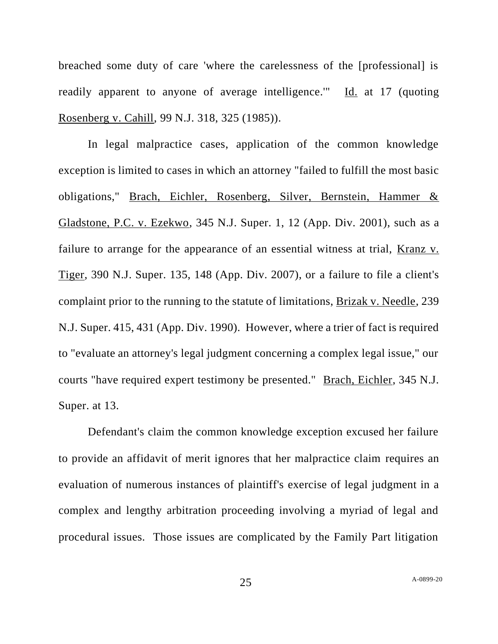breached some duty of care 'where the carelessness of the [professional] is readily apparent to anyone of average intelligence.'" Id. at 17 (quoting Rosenberg v. Cahill, 99 N.J. 318, 325 (1985)).

In legal malpractice cases, application of the common knowledge exception is limited to cases in which an attorney "failed to fulfill the most basic obligations," Brach, Eichler, Rosenberg, Silver, Bernstein, Hammer & Gladstone, P.C. v. Ezekwo, 345 N.J. Super. 1, 12 (App. Div. 2001), such as a failure to arrange for the appearance of an essential witness at trial, Kranz v. Tiger, 390 N.J. Super. 135, 148 (App. Div. 2007), or a failure to file a client's complaint prior to the running to the statute of limitations, Brizak v. Needle, 239 N.J. Super. 415, 431 (App. Div. 1990). However, where a trier of fact is required to "evaluate an attorney's legal judgment concerning a complex legal issue," our courts "have required expert testimony be presented." Brach, Eichler, 345 N.J. Super. at 13.

Defendant's claim the common knowledge exception excused her failure to provide an affidavit of merit ignores that her malpractice claim requires an evaluation of numerous instances of plaintiff's exercise of legal judgment in a complex and lengthy arbitration proceeding involving a myriad of legal and procedural issues. Those issues are complicated by the Family Part litigation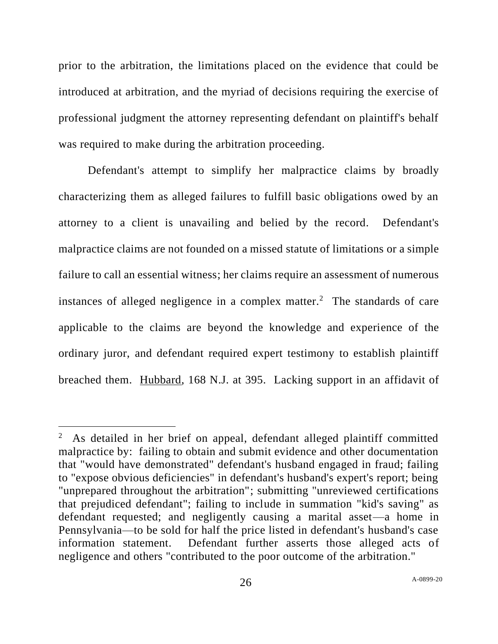prior to the arbitration, the limitations placed on the evidence that could be introduced at arbitration, and the myriad of decisions requiring the exercise of professional judgment the attorney representing defendant on plaintiff's behalf was required to make during the arbitration proceeding.

Defendant's attempt to simplify her malpractice claims by broadly characterizing them as alleged failures to fulfill basic obligations owed by an attorney to a client is unavailing and belied by the record. Defendant's malpractice claims are not founded on a missed statute of limitations or a simple failure to call an essential witness; her claims require an assessment of numerous instances of alleged negligence in a complex matter.<sup>2</sup> The standards of care applicable to the claims are beyond the knowledge and experience of the ordinary juror, and defendant required expert testimony to establish plaintiff breached them. Hubbard, 168 N.J. at 395. Lacking support in an affidavit of

<sup>2</sup> As detailed in her brief on appeal, defendant alleged plaintiff committed malpractice by: failing to obtain and submit evidence and other documentation that "would have demonstrated" defendant's husband engaged in fraud; failing to "expose obvious deficiencies" in defendant's husband's expert's report; being "unprepared throughout the arbitration"; submitting "unreviewed certifications that prejudiced defendant"; failing to include in summation "kid's saving" as defendant requested; and negligently causing a marital asset—a home in Pennsylvania—to be sold for half the price listed in defendant's husband's case information statement. Defendant further asserts those alleged acts of negligence and others "contributed to the poor outcome of the arbitration."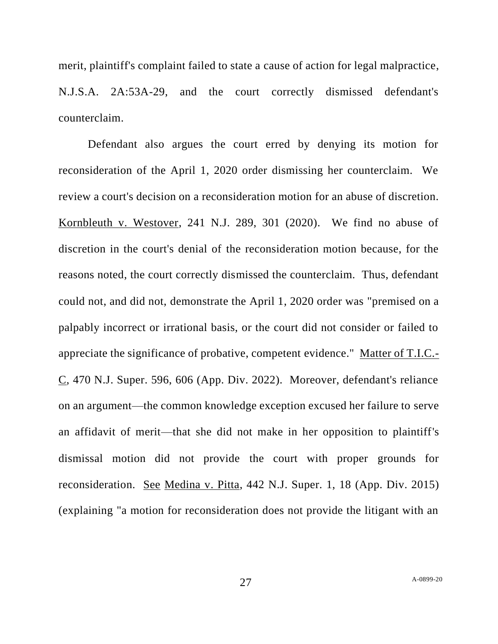merit, plaintiff's complaint failed to state a cause of action for legal malpractice, N.J.S.A. 2A:53A-29, and the court correctly dismissed defendant's counterclaim.

Defendant also argues the court erred by denying its motion for reconsideration of the April 1, 2020 order dismissing her counterclaim. We review a court's decision on a reconsideration motion for an abuse of discretion. Kornbleuth v. Westover, 241 N.J. 289, 301 (2020). We find no abuse of discretion in the court's denial of the reconsideration motion because, for the reasons noted, the court correctly dismissed the counterclaim. Thus, defendant could not, and did not, demonstrate the April 1, 2020 order was "premised on a palpably incorrect or irrational basis, or the court did not consider or failed to appreciate the significance of probative, competent evidence." Matter of T.I.C.- C, 470 N.J. Super. 596, 606 (App. Div. 2022). Moreover, defendant's reliance on an argument—the common knowledge exception excused her failure to serve an affidavit of merit—that she did not make in her opposition to plaintiff's dismissal motion did not provide the court with proper grounds for reconsideration. See Medina v. Pitta, 442 N.J. Super. 1, 18 (App. Div. 2015) (explaining "a motion for reconsideration does not provide the litigant with an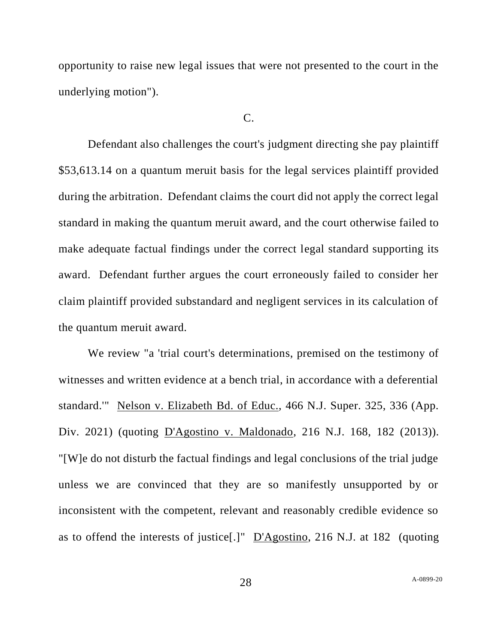opportunity to raise new legal issues that were not presented to the court in the underlying motion").

#### $C_{\cdot}$

Defendant also challenges the court's judgment directing she pay plaintiff \$53,613.14 on a quantum meruit basis for the legal services plaintiff provided during the arbitration. Defendant claims the court did not apply the correct legal standard in making the quantum meruit award, and the court otherwise failed to make adequate factual findings under the correct legal standard supporting its award. Defendant further argues the court erroneously failed to consider her claim plaintiff provided substandard and negligent services in its calculation of the quantum meruit award.

We review "a 'trial court's determinations, premised on the testimony of witnesses and written evidence at a bench trial, in accordance with a deferential standard.'" Nelson v. Elizabeth Bd. of Educ., 466 N.J. Super. 325, 336 (App. Div. 2021) (quoting D'Agostino v. Maldonado, 216 N.J. 168, 182 (2013)). "[W]e do not disturb the factual findings and legal conclusions of the trial judge unless we are convinced that they are so manifestly unsupported by or inconsistent with the competent, relevant and reasonably credible evidence so as to offend the interests of justice[.]" D'Agostino, 216 N.J. at 182 (quoting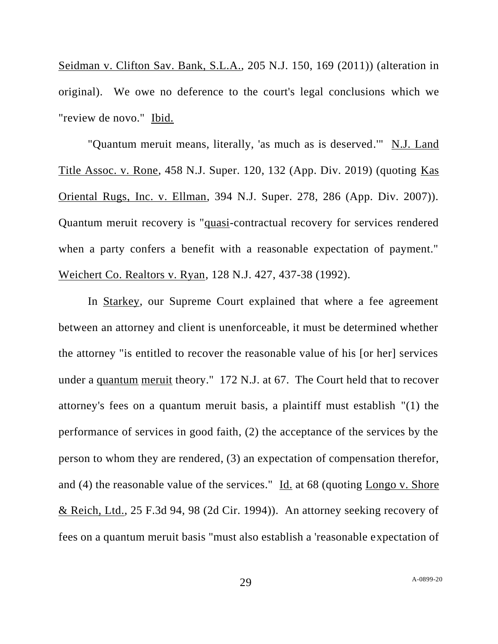Seidman v. Clifton Sav. Bank, S.L.A., 205 N.J. 150, 169 (2011)) (alteration in original). We owe no deference to the court's legal conclusions which we "review de novo." Ibid.

"Quantum meruit means, literally, 'as much as is deserved.'" N.J. Land Title Assoc. v. Rone, 458 N.J. Super. 120, 132 (App. Div. 2019) (quoting Kas Oriental Rugs, Inc. v. Ellman, 394 N.J. Super. 278, 286 (App. Div. 2007)). Quantum meruit recovery is "quasi-contractual recovery for services rendered when a party confers a benefit with a reasonable expectation of payment." Weichert Co. Realtors v. Ryan, 128 N.J. 427, 437-38 (1992).

In Starkey, our Supreme Court explained that where a fee agreement between an attorney and client is unenforceable, it must be determined whether the attorney "is entitled to recover the reasonable value of his [or her] services under a quantum meruit theory." 172 N.J. at 67. The Court held that to recover attorney's fees on a quantum meruit basis, a plaintiff must establish "(1) the performance of services in good faith, (2) the acceptance of the services by the person to whom they are rendered, (3) an expectation of compensation therefor, and (4) the reasonable value of the services." Id. at 68 (quoting Longo v. Shore & Reich, Ltd., 25 F.3d 94, 98 (2d Cir. 1994)). An attorney seeking recovery of fees on a quantum meruit basis "must also establish a 'reasonable expectation of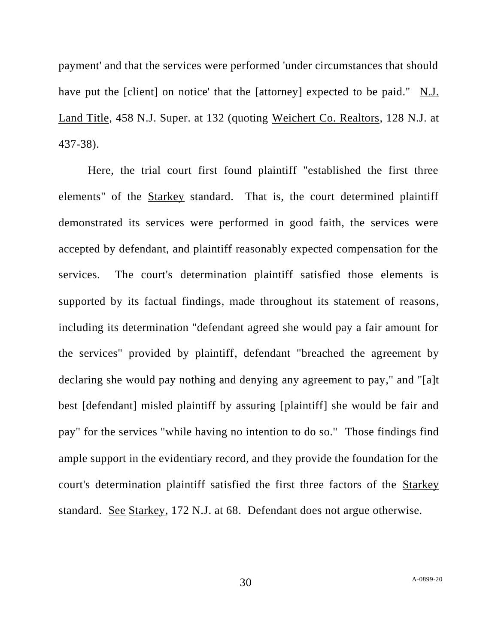payment' and that the services were performed 'under circumstances that should have put the [client] on notice' that the [attorney] expected to be paid." N.J. Land Title, 458 N.J. Super. at 132 (quoting Weichert Co. Realtors, 128 N.J. at 437-38).

Here, the trial court first found plaintiff "established the first three elements" of the Starkey standard. That is, the court determined plaintiff demonstrated its services were performed in good faith, the services were accepted by defendant, and plaintiff reasonably expected compensation for the services. The court's determination plaintiff satisfied those elements is supported by its factual findings, made throughout its statement of reasons, including its determination "defendant agreed she would pay a fair amount for the services" provided by plaintiff, defendant "breached the agreement by declaring she would pay nothing and denying any agreement to pay," and "[a]t best [defendant] misled plaintiff by assuring [plaintiff] she would be fair and pay" for the services "while having no intention to do so." Those findings find ample support in the evidentiary record, and they provide the foundation for the court's determination plaintiff satisfied the first three factors of the Starkey standard. See Starkey, 172 N.J. at 68. Defendant does not argue otherwise.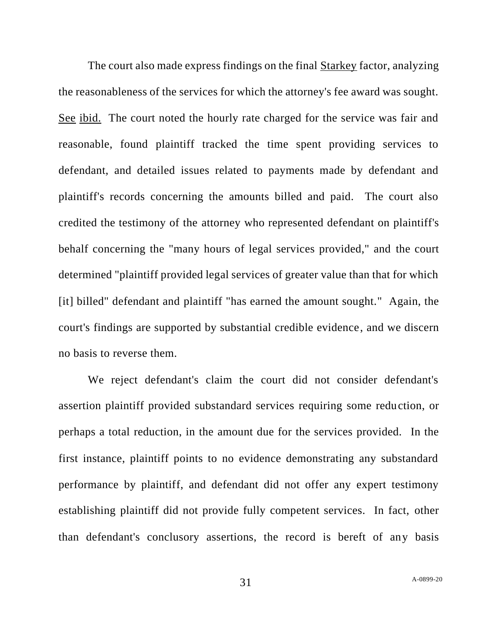The court also made express findings on the final Starkey factor, analyzing the reasonableness of the services for which the attorney's fee award was sought. See ibid. The court noted the hourly rate charged for the service was fair and reasonable, found plaintiff tracked the time spent providing services to defendant, and detailed issues related to payments made by defendant and plaintiff's records concerning the amounts billed and paid. The court also credited the testimony of the attorney who represented defendant on plaintiff's behalf concerning the "many hours of legal services provided," and the court determined "plaintiff provided legal services of greater value than that for which [it] billed" defendant and plaintiff "has earned the amount sought." Again, the court's findings are supported by substantial credible evidence, and we discern no basis to reverse them.

We reject defendant's claim the court did not consider defendant's assertion plaintiff provided substandard services requiring some reduction, or perhaps a total reduction, in the amount due for the services provided. In the first instance, plaintiff points to no evidence demonstrating any substandard performance by plaintiff, and defendant did not offer any expert testimony establishing plaintiff did not provide fully competent services. In fact, other than defendant's conclusory assertions, the record is bereft of any basis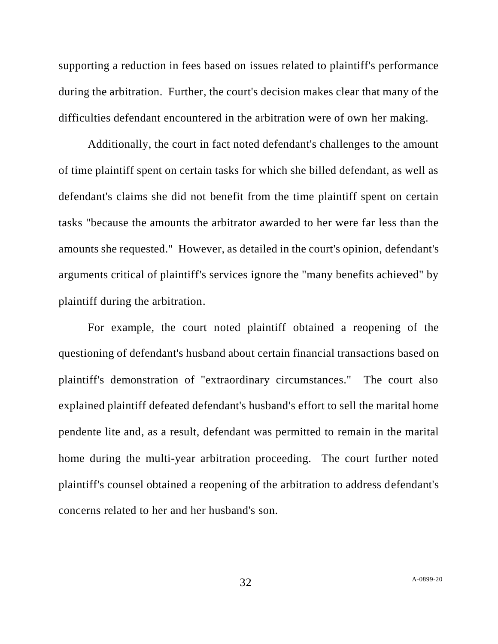supporting a reduction in fees based on issues related to plaintiff's performance during the arbitration. Further, the court's decision makes clear that many of the difficulties defendant encountered in the arbitration were of own her making.

Additionally, the court in fact noted defendant's challenges to the amount of time plaintiff spent on certain tasks for which she billed defendant, as well as defendant's claims she did not benefit from the time plaintiff spent on certain tasks "because the amounts the arbitrator awarded to her were far less than the amounts she requested." However, as detailed in the court's opinion, defendant's arguments critical of plaintiff's services ignore the "many benefits achieved" by plaintiff during the arbitration.

For example, the court noted plaintiff obtained a reopening of the questioning of defendant's husband about certain financial transactions based on plaintiff's demonstration of "extraordinary circumstances." The court also explained plaintiff defeated defendant's husband's effort to sell the marital home pendente lite and, as a result, defendant was permitted to remain in the marital home during the multi-year arbitration proceeding. The court further noted plaintiff's counsel obtained a reopening of the arbitration to address defendant's concerns related to her and her husband's son.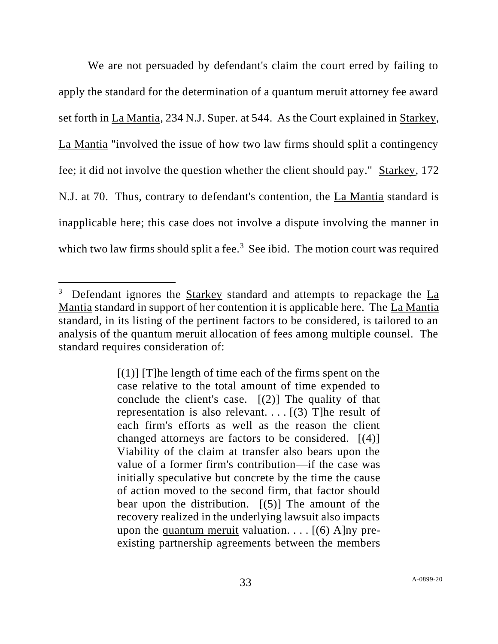We are not persuaded by defendant's claim the court erred by failing to apply the standard for the determination of a quantum meruit attorney fee award set forth in La Mantia, 234 N.J. Super. at 544. As the Court explained in Starkey, La Mantia "involved the issue of how two law firms should split a contingency fee; it did not involve the question whether the client should pay." Starkey, 172 N.J. at 70. Thus, contrary to defendant's contention, the La Mantia standard is inapplicable here; this case does not involve a dispute involving the manner in which two law firms should split a fee.<sup>3</sup> See ibid. The motion court was required

<sup>&</sup>lt;sup>3</sup> Defendant ignores the **Starkey** standard and attempts to repackage the  $La$ </u> Mantia standard in support of her contention it is applicable here. The La Mantia standard, in its listing of the pertinent factors to be considered, is tailored to an analysis of the quantum meruit allocation of fees among multiple counsel. The standard requires consideration of:

 $[(1)]$  [T]he length of time each of the firms spent on the case relative to the total amount of time expended to conclude the client's case. [(2)] The quality of that representation is also relevant.  $\ldots$  [(3) T] he result of each firm's efforts as well as the reason the client changed attorneys are factors to be considered.  $[(4)]$ Viability of the claim at transfer also bears upon the value of a former firm's contribution—if the case was initially speculative but concrete by the time the cause of action moved to the second firm, that factor should bear upon the distribution.  $[(5)]$  The amount of the recovery realized in the underlying lawsuit also impacts upon the quantum meruit valuation.  $\ldots$  [(6) A]ny preexisting partnership agreements between the members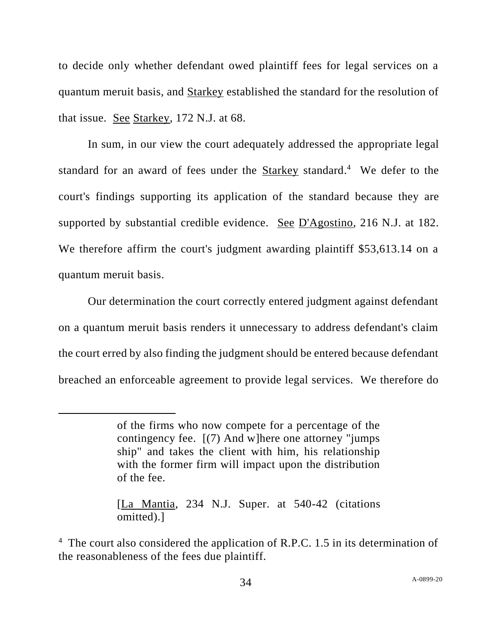to decide only whether defendant owed plaintiff fees for legal services on a quantum meruit basis, and Starkey established the standard for the resolution of that issue. See Starkey, 172 N.J. at 68.

In sum, in our view the court adequately addressed the appropriate legal standard for an award of fees under the **Starkey** standard.<sup>4</sup> We defer to the court's findings supporting its application of the standard because they are supported by substantial credible evidence. See D'Agostino, 216 N.J. at 182. We therefore affirm the court's judgment awarding plaintiff \$53,613.14 on a quantum meruit basis.

Our determination the court correctly entered judgment against defendant on a quantum meruit basis renders it unnecessary to address defendant's claim the court erred by also finding the judgment should be entered because defendant breached an enforceable agreement to provide legal services. We therefore do

of the firms who now compete for a percentage of the contingency fee. [(7) And w]here one attorney "jumps ship" and takes the client with him, his relationship with the former firm will impact upon the distribution of the fee.

<sup>[</sup>La Mantia, 234 N.J. Super. at 540-42 (citations omitted).]

<sup>&</sup>lt;sup>4</sup> The court also considered the application of R.P.C. 1.5 in its determination of the reasonableness of the fees due plaintiff.